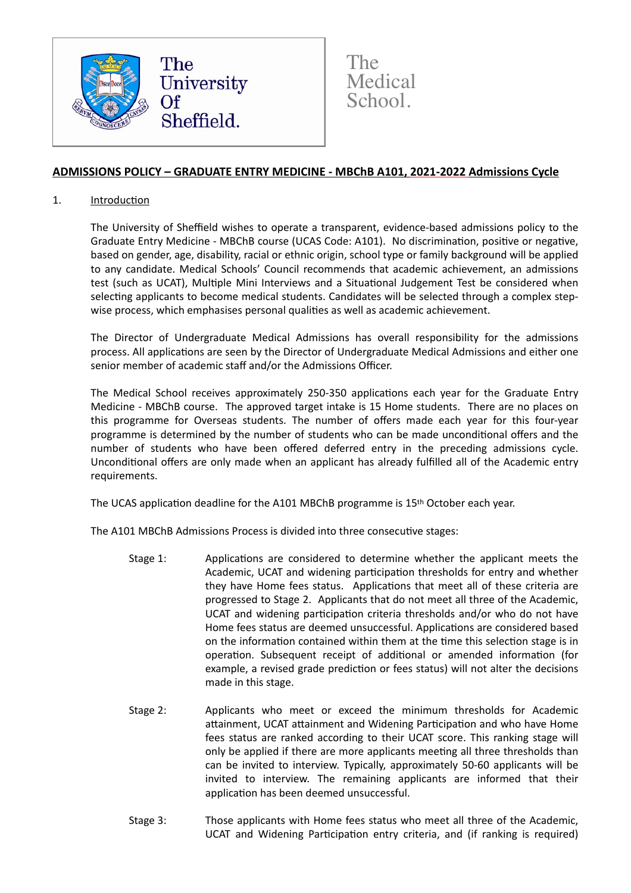

The<sup>'</sup> **Medical** School.

# **ADMISSIONS POLICY – GRADUATE ENTRY MEDICINE - MBChB A101, 2021-2022 Admissions Cycle**

#### 1. Introduction

The University of Sheffield wishes to operate a transparent, evidence-based admissions policy to the Graduate Entry Medicine - MBChB course (UCAS Code: A101). No discrimination, positive or negative, based on gender, age, disability, racial or ethnic origin, school type or family background will be applied to any candidate. Medical Schools' Council recommends that academic achievement, an admissions test (such as UCAT), Multiple Mini Interviews and a Situational Judgement Test be considered when selecting applicants to become medical students. Candidates will be selected through a complex stepwise process, which emphasises personal qualities as well as academic achievement.

The Director of Undergraduate Medical Admissions has overall responsibility for the admissions process. All applications are seen by the Director of Undergraduate Medical Admissions and either one senior member of academic staff and/or the Admissions Officer.

The Medical School receives approximately 250-350 applications each year for the Graduate Entry Medicine - MBChB course. The approved target intake is 15 Home students. There are no places on this programme for Overseas students. The number of offers made each year for this four-year programme is determined by the number of students who can be made unconditional offers and the number of students who have been offered deferred entry in the preceding admissions cycle. Unconditional offers are only made when an applicant has already fulfilled all of the Academic entry requirements.

The UCAS application deadline for the A101 MBChB programme is 15<sup>th</sup> October each year.

The A101 MBChB Admissions Process is divided into three consecutive stages:

- Stage 1: Applications are considered to determine whether the applicant meets the Academic, UCAT and widening participation thresholds for entry and whether they have Home fees status. Applications that meet all of these criteria are progressed to Stage 2. Applicants that do not meet all three of the Academic, UCAT and widening participation criteria thresholds and/or who do not have Home fees status are deemed unsuccessful. Applications are considered based on the information contained within them at the time this selection stage is in operation. Subsequent receipt of additional or amended information (for example, a revised grade prediction or fees status) will not alter the decisions made in this stage.
- Stage 2: Applicants who meet or exceed the minimum thresholds for Academic attainment, UCAT attainment and Widening Participation and who have Home fees status are ranked according to their UCAT score. This ranking stage will only be applied if there are more applicants meeting all three thresholds than can be invited to interview. Typically, approximately 50-60 applicants will be invited to interview. The remaining applicants are informed that their application has been deemed unsuccessful.
- Stage 3: Those applicants with Home fees status who meet all three of the Academic, UCAT and Widening Participation entry criteria, and (if ranking is required)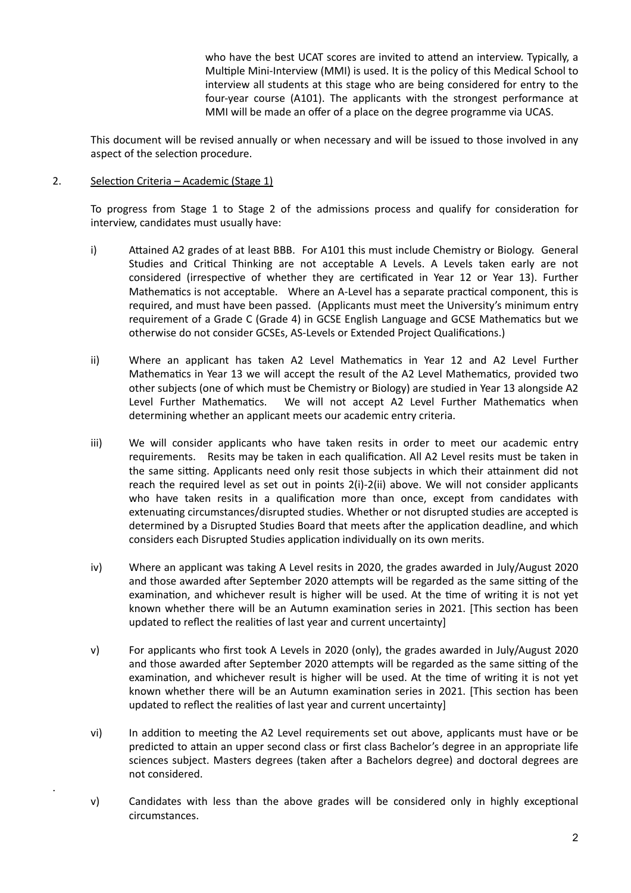who have the best UCAT scores are invited to attend an interview. Typically, a Multiple Mini-Interview (MMI) is used. It is the policy of this Medical School to interview all students at this stage who are being considered for entry to the four-year course (A101). The applicants with the strongest performance at MMI will be made an offer of a place on the degree programme via UCAS.

This document will be revised annually or when necessary and will be issued to those involved in any aspect of the selection procedure.

### 2. Selection Criteria – Academic (Stage 1)

.

To progress from Stage 1 to Stage 2 of the admissions process and qualify for consideration for interview, candidates must usually have:

- i) Attained A2 grades of at least BBB. For A101 this must include Chemistry or Biology. General Studies and Critical Thinking are not acceptable A Levels. A Levels taken early are not considered (irrespective of whether they are certificated in Year 12 or Year 13). Further Mathematics is not acceptable. Where an A-Level has a separate practical component, this is required, and must have been passed. (Applicants must meet the University's minimum entry requirement of a Grade C (Grade 4) in GCSE English Language and GCSE Mathematics but we otherwise do not consider GCSEs, AS-Levels or Extended Project Qualifications.)
- ii) Where an applicant has taken A2 Level Mathematics in Year 12 and A2 Level Further Mathematics in Year 13 we will accept the result of the A2 Level Mathematics, provided two other subjects (one of which must be Chemistry or Biology) are studied in Year 13 alongside A2 Level Further Mathematics. We will not accept A2 Level Further Mathematics when determining whether an applicant meets our academic entry criteria.
- iii) We will consider applicants who have taken resits in order to meet our academic entry requirements. Resits may be taken in each qualification. All A2 Level resits must be taken in the same sitting. Applicants need only resit those subjects in which their attainment did not reach the required level as set out in points 2(i)-2(ii) above. We will not consider applicants who have taken resits in a qualification more than once, except from candidates with extenuating circumstances/disrupted studies. Whether or not disrupted studies are accepted is determined by a Disrupted Studies Board that meets after the application deadline, and which considers each Disrupted Studies application individually on its own merits.
- iv) Where an applicant was taking A Level resits in 2020, the grades awarded in July/August 2020 and those awarded after September 2020 attempts will be regarded as the same sitting of the examination, and whichever result is higher will be used. At the time of writing it is not yet known whether there will be an Autumn examination series in 2021. [This section has been updated to reflect the realities of last year and current uncertainty]
- v) For applicants who first took A Levels in 2020 (only), the grades awarded in July/August 2020 and those awarded after September 2020 attempts will be regarded as the same sitting of the examination, and whichever result is higher will be used. At the time of writing it is not yet known whether there will be an Autumn examination series in 2021. [This section has been updated to reflect the realities of last year and current uncertainty]
- vi) In addition to meeting the A2 Level requirements set out above, applicants must have or be predicted to attain an upper second class or first class Bachelor's degree in an appropriate life sciences subject. Masters degrees (taken after a Bachelors degree) and doctoral degrees are not considered.
- v) Candidates with less than the above grades will be considered only in highly exceptional circumstances.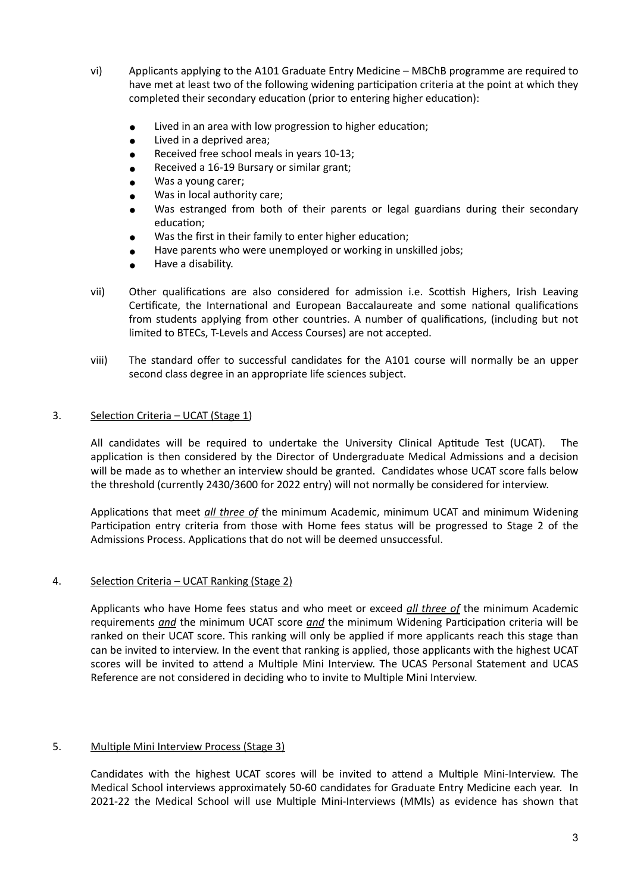- vi) Applicants applying to the A101 Graduate Entry Medicine MBChB programme are required to have met at least two of the following widening participation criteria at the point at which they completed their secondary education (prior to entering higher education):
	- Lived in an area with low progression to higher education;
	- Lived in a deprived area;
	- Received free school meals in years 10-13;
	- Received a 16-19 Bursary or similar grant;
	- Was a young carer:
	- Was in local authority care;
	- Was estranged from both of their parents or legal guardians during their secondary education;
	- Was the first in their family to enter higher education;
	- Have parents who were unemployed or working in unskilled jobs;
	- Have a disability.
- vii) Other qualifications are also considered for admission i.e. Scottish Highers, Irish Leaving Certificate, the International and European Baccalaureate and some national qualifications from students applying from other countries. A number of qualifications, (including but not limited to BTECs, T-Levels and Access Courses) are not accepted.
- viii) The standard offer to successful candidates for the A101 course will normally be an upper second class degree in an appropriate life sciences subject.

## 3. Selection Criteria – UCAT (Stage 1)

All candidates will be required to undertake the University Clinical Aptitude Test (UCAT). The application is then considered by the Director of Undergraduate Medical Admissions and a decision will be made as to whether an interview should be granted. Candidates whose UCAT score falls below the threshold (currently 2430/3600 for 2022 entry) will not normally be considered for interview.

Applications that meet *all three of* the minimum Academic, minimum UCAT and minimum Widening Participation entry criteria from those with Home fees status will be progressed to Stage 2 of the Admissions Process. Applications that do not will be deemed unsuccessful.

#### 4. Selection Criteria – UCAT Ranking (Stage 2)

Applicants who have Home fees status and who meet or exceed *all three of* the minimum Academic requirements *and* the minimum UCAT score *and* the minimum Widening Participation criteria will be ranked on their UCAT score. This ranking will only be applied if more applicants reach this stage than can be invited to interview. In the event that ranking is applied, those applicants with the highest UCAT scores will be invited to attend a Multiple Mini Interview. The UCAS Personal Statement and UCAS Reference are not considered in deciding who to invite to Multiple Mini Interview.

#### 5. Multiple Mini Interview Process (Stage 3)

Candidates with the highest UCAT scores will be invited to attend a Multiple Mini-Interview. The Medical School interviews approximately 50-60 candidates for Graduate Entry Medicine each year. In 2021-22 the Medical School will use Multiple Mini-Interviews (MMIs) as evidence has shown that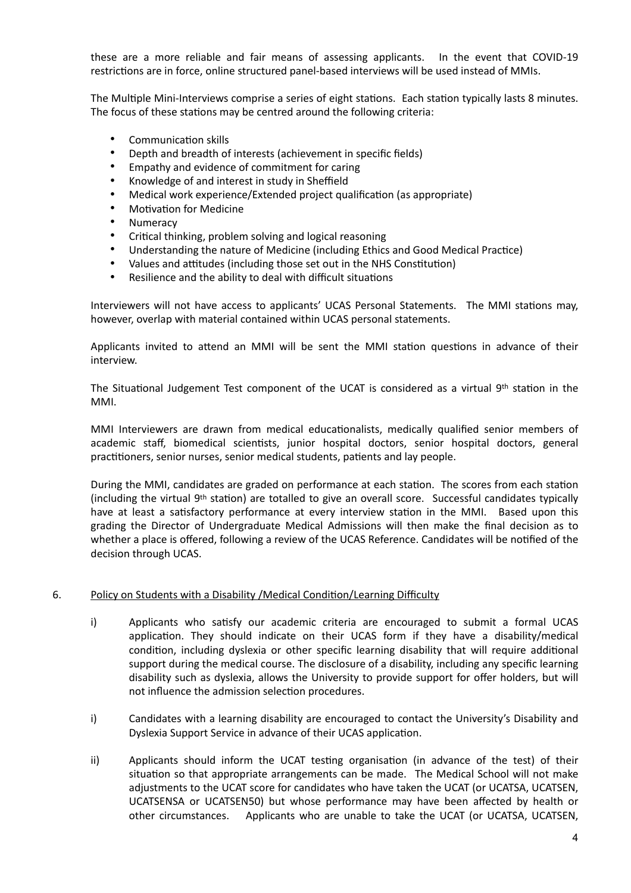these are a more reliable and fair means of assessing applicants. In the event that COVID-19 restrictions are in force, online structured panel-based interviews will be used instead of MMIs.

The Multiple Mini-Interviews comprise a series of eight stations. Each station typically lasts 8 minutes. The focus of these stations may be centred around the following criteria:

- Communication skills
- Depth and breadth of interests (achievement in specific fields)
- Empathy and evidence of commitment for caring
- Knowledge of and interest in study in Sheffield
- Medical work experience/Extended project qualification (as appropriate)
- Motivation for Medicine
- **Numeracy**
- Critical thinking, problem solving and logical reasoning
- Understanding the nature of Medicine (including Ethics and Good Medical Practice)
- Values and attitudes (including those set out in the NHS Constitution)
- Resilience and the ability to deal with difficult situations

Interviewers will not have access to applicants' UCAS Personal Statements. The MMI stations may, however, overlap with material contained within UCAS personal statements.

Applicants invited to attend an MMI will be sent the MMI station questions in advance of their interview.

The Situational Judgement Test component of the UCAT is considered as a virtual 9<sup>th</sup> station in the MMI.

MMI Interviewers are drawn from medical educationalists, medically qualified senior members of academic staff, biomedical scientists, junior hospital doctors, senior hospital doctors, general practitioners, senior nurses, senior medical students, patients and lay people.

During the MMI, candidates are graded on performance at each station. The scores from each station (including the virtual 9th station) are totalled to give an overall score. Successful candidates typically have at least a satisfactory performance at every interview station in the MMI. Based upon this grading the Director of Undergraduate Medical Admissions will then make the final decision as to whether a place is offered, following a review of the UCAS Reference. Candidates will be notified of the decision through UCAS.

#### 6. Policy on Students with a Disability /Medical Condition/Learning Difficulty

- i) Applicants who satisfy our academic criteria are encouraged to submit a formal UCAS application. They should indicate on their UCAS form if they have a disability/medical condition, including dyslexia or other specific learning disability that will require additional support during the medical course. The disclosure of a disability, including any specific learning disability such as dyslexia, allows the University to provide support for offer holders, but will not influence the admission selection procedures.
- i) Candidates with a learning disability are encouraged to contact the University's Disability and Dyslexia Support Service in advance of their UCAS application.
- ii) Applicants should inform the UCAT testing organisation (in advance of the test) of their situation so that appropriate arrangements can be made. The Medical School will not make adjustments to the UCAT score for candidates who have taken the UCAT (or UCATSA, UCATSEN, UCATSENSA or UCATSEN50) but whose performance may have been affected by health or other circumstances. Applicants who are unable to take the UCAT (or UCATSA, UCATSEN,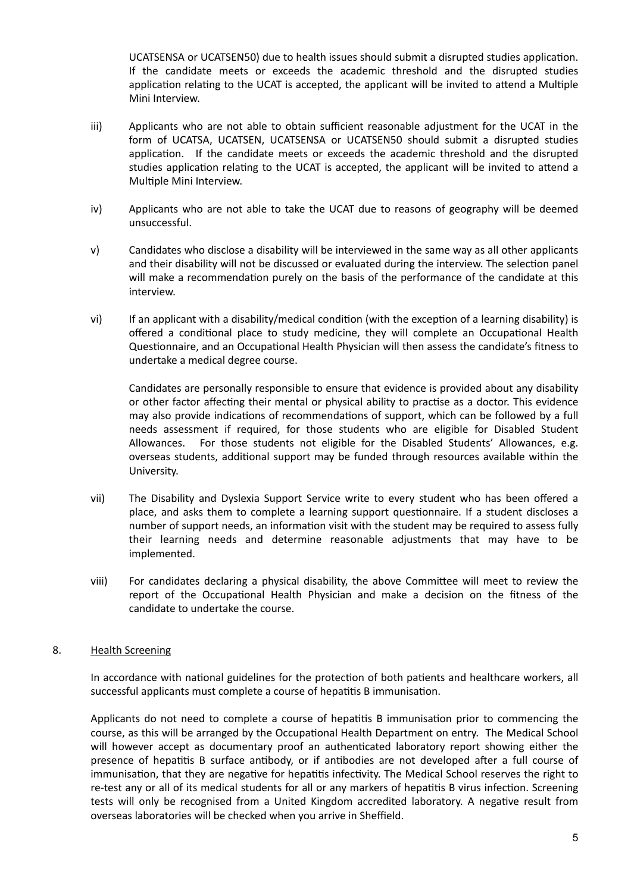UCATSENSA or UCATSEN50) due to health issues should submit a disrupted studies application. If the candidate meets or exceeds the academic threshold and the disrupted studies application relating to the UCAT is accepted, the applicant will be invited to attend a Multiple Mini Interview.

- iii) Applicants who are not able to obtain sufficient reasonable adjustment for the UCAT in the form of UCATSA, UCATSEN, UCATSENSA or UCATSEN50 should submit a disrupted studies application. If the candidate meets or exceeds the academic threshold and the disrupted studies application relating to the UCAT is accepted, the applicant will be invited to attend a Multiple Mini Interview.
- iv) Applicants who are not able to take the UCAT due to reasons of geography will be deemed unsuccessful.
- v) Candidates who disclose a disability will be interviewed in the same way as all other applicants and their disability will not be discussed or evaluated during the interview. The selection panel will make a recommendation purely on the basis of the performance of the candidate at this interview.
- vi) If an applicant with a disability/medical condition (with the exception of a learning disability) is offered a conditional place to study medicine, they will complete an Occupational Health Questionnaire, and an Occupational Health Physician will then assess the candidate's fitness to undertake a medical degree course.

Candidates are personally responsible to ensure that evidence is provided about any disability or other factor affecting their mental or physical ability to practise as a doctor. This evidence may also provide indications of recommendations of support, which can be followed by a full needs assessment if required, for those students who are eligible for Disabled Student Allowances. For those students not eligible for the Disabled Students' Allowances, e.g. overseas students, additional support may be funded through resources available within the University.

- vii) The Disability and Dyslexia Support Service write to every student who has been offered a place, and asks them to complete a learning support questionnaire. If a student discloses a number of support needs, an information visit with the student may be required to assess fully their learning needs and determine reasonable adjustments that may have to be implemented.
- viii) For candidates declaring a physical disability, the above Committee will meet to review the report of the Occupational Health Physician and make a decision on the fitness of the candidate to undertake the course.

#### 8. Health Screening

In accordance with national guidelines for the protection of both patients and healthcare workers, all successful applicants must complete a course of hepatitis B immunisation.

Applicants do not need to complete a course of hepatitis B immunisation prior to commencing the course, as this will be arranged by the Occupational Health Department on entry. The Medical School will however accept as documentary proof an authenticated laboratory report showing either the presence of hepatitis B surface antibody, or if antibodies are not developed after a full course of immunisation, that they are negative for hepatitis infectivity. The Medical School reserves the right to re-test any or all of its medical students for all or any markers of hepatitis B virus infection. Screening tests will only be recognised from a United Kingdom accredited laboratory. A negative result from overseas laboratories will be checked when you arrive in Sheffield.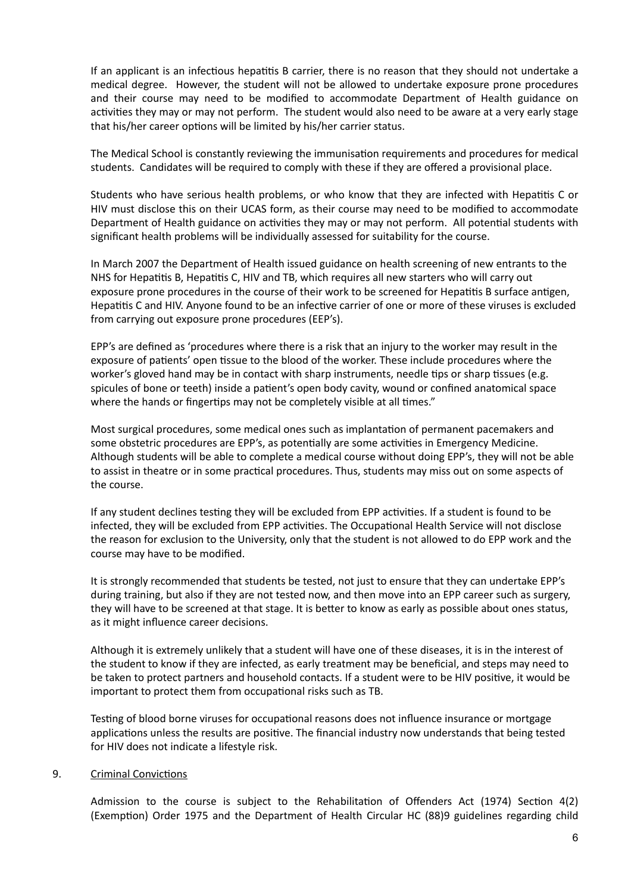If an applicant is an infectious hepatitis B carrier, there is no reason that they should not undertake a medical degree. However, the student will not be allowed to undertake exposure prone procedures and their course may need to be modified to accommodate Department of Health guidance on activities they may or may not perform. The student would also need to be aware at a very early stage that his/her career options will be limited by his/her carrier status.

The Medical School is constantly reviewing the immunisation requirements and procedures for medical students. Candidates will be required to comply with these if they are offered a provisional place.

Students who have serious health problems, or who know that they are infected with Hepatitis C or HIV must disclose this on their UCAS form, as their course may need to be modified to accommodate Department of Health guidance on activities they may or may not perform. All potential students with significant health problems will be individually assessed for suitability for the course.

In March 2007 the Department of Health issued guidance on health screening of new entrants to the NHS for Hepatitis B, Hepatitis C, HIV and TB, which requires all new starters who will carry out exposure prone procedures in the course of their work to be screened for Hepatitis B surface antigen, Hepatitis C and HIV. Anyone found to be an infective carrier of one or more of these viruses is excluded from carrying out exposure prone procedures (EEP's).

EPP's are defined as 'procedures where there is a risk that an injury to the worker may result in the exposure of patients' open tissue to the blood of the worker. These include procedures where the worker's gloved hand may be in contact with sharp instruments, needle tips or sharp tissues (e.g. spicules of bone or teeth) inside a patient's open body cavity, wound or confined anatomical space where the hands or fingertips may not be completely visible at all times."

Most surgical procedures, some medical ones such as implantation of permanent pacemakers and some obstetric procedures are EPP's, as potentially are some activities in Emergency Medicine. Although students will be able to complete a medical course without doing EPP's, they will not be able to assist in theatre or in some practical procedures. Thus, students may miss out on some aspects of the course.

If any student declines testing they will be excluded from EPP activities. If a student is found to be infected, they will be excluded from EPP activities. The Occupational Health Service will not disclose the reason for exclusion to the University, only that the student is not allowed to do EPP work and the course may have to be modified.

It is strongly recommended that students be tested, not just to ensure that they can undertake EPP's during training, but also if they are not tested now, and then move into an EPP career such as surgery, they will have to be screened at that stage. It is better to know as early as possible about ones status, as it might influence career decisions.

Although it is extremely unlikely that a student will have one of these diseases, it is in the interest of the student to know if they are infected, as early treatment may be beneficial, and steps may need to be taken to protect partners and household contacts. If a student were to be HIV positive, it would be important to protect them from occupational risks such as TB.

Testing of blood borne viruses for occupational reasons does not influence insurance or mortgage applications unless the results are positive. The financial industry now understands that being tested for HIV does not indicate a lifestyle risk.

#### 9. Criminal Convictions

Admission to the course is subject to the Rehabilitation of Offenders Act (1974) Section 4(2) (Exemption) Order 1975 and the Department of Health Circular HC (88)9 guidelines regarding child